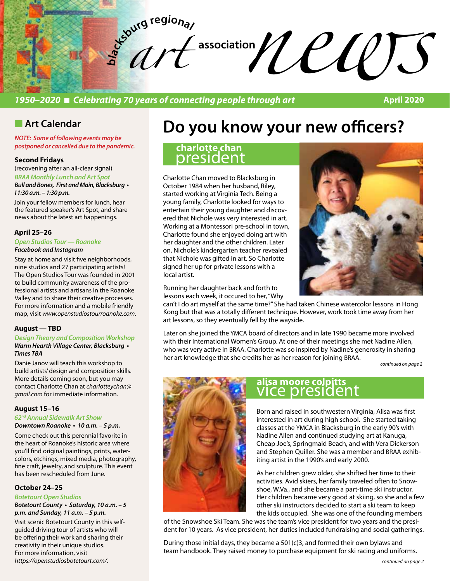

## *1950–2020* n *Celebrating 70 years of connecting people through art*

**April 2020**

# **n** Art Calendar

*NOTE: Some of following events may be postponed or cancelled due to the pandemic.* 

### **Second Fridays**

(recovening after an all-clear signal) *BRAA Monthly Lunch and Art Spot* **Bull and Bones, First and Main, Blacksburg •**  *11:30 a.m. – 1:30 p.m.* 

Join your fellow members for lunch, hear the featured speaker's Art Spot, and share news about the latest art happenings.

### **April 25–26**

*Open Studios Tour — Roanoke Facebook and Instagram* 

Stay at home and visit five neighborhoods, nine studios and 27 participating artists! The Open Studios Tour was founded in 2001 to build community awareness of the professional artists and artisans in the Roanoke Valley and to share their creative processes. For more information and a mobile friendly map, visit *www.openstudiostourroanoke.com*.

### **August — TBD**

*Design Theory and Composition Workshop* **Warm Hearth Village Center, Blacksburg •**  *Times TBA*

Danie Janov will teach this workshop to build artists' design and composition skills. More details coming soon, but you may contact Charlotte Chan at *charlotteychan@ gmail.com* for immediate information.

### **August 15–16**

#### *62nd Annual Sidewalk Art Show* **Downtown Roanoke • 10 a.m. – 5 p.m.**

Come check out this perennial favorite in the heart of Roanoke's historic area where you'll find original paintings, prints, watercolors, etchings, mixed media, photography, fine craft, jewelry, and sculpture. This event has been rescheduled from June.

#### **October 24–25**

### *Botetourt Open Studios* **Botetourt County • Saturday, 10 a.m. – 5**

**p.m. and Sunday, 11 a.m. – 5 p.m.**

Visit scenic Botetourt County in this selfguided driving tour of artists who will be offering their work and sharing their creativity in their unique studios. For more information, visit *https://openstudiosbotetourt.com/*.

# **Do you know your new officers?**

## president **charlotte chan**

Charlotte Chan moved to Blacksburg in October 1984 when her husband, Riley, started working at Virginia Tech. Being a young family, Charlotte looked for ways to entertain their young daughter and discovered that Nichole was very interested in art. Working at a Montessori pre‐school in town, Charlotte found she enjoyed doing art with her daughter and the other children. Later on, Nichole's kindergarten teacher revealed that Nichole was gifted in art. So Charlotte signed her up for private lessons with a local artist.



Running her daughter back and forth to lessons each week, it occured to her, "Why

can't I do art myself at the same time?" She had taken Chinese watercolor lessons in Hong Kong but that was a totally different technique. However, work took time away from her art lessons, so they eventually fell by the wayside.

Later on she joined the YMCA board of directors and in late 1990 became more involved with their International Women's Group. At one of their meetings she met Nadine Allen, who was very active in BRAA. Charlotte was so inspired by Nadine's generosity in sharing her art knowledge that she credits her as her reason for joining BRAA.

*continued on page 2*



# vice president **alisa moore colpitts**

Born and raised in southwestern Virginia, Alisa was first interested in art during high school. She started taking classes at the YMCA in Blacksburg in the early 90's with Nadine Allen and continued studying art at Kanuga, Cheap Joe's, Springmaid Beach, and with Vera Dickerson and Stephen Quiller. She was a member and BRAA exhibiting artist in the 1990's and early 2000.

As her children grew older, she shifted her time to their activities. Avid skiers, her family traveled often to Snowshoe, W.Va., and she became a part-time ski instructor. Her children became very good at skiing, so she and a few other ski instructors decided to start a ski team to keep the kids occupied. She was one of the founding members

of the Snowshoe Ski Team. She was the team's vice president for two years and the president for 10 years. As vice president, her duties included fundraising and social gatherings.

During those initial days, they became a 501(c)3, and formed their own bylaws and team handbook. They raised money to purchase equipment for ski racing and uniforms.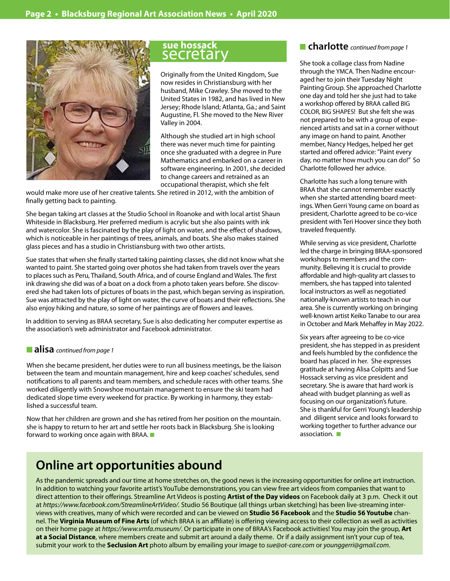

### secretary **sue hossack**

Originally from the United Kingdom, Sue now resides in Christiansburg with her husband, Mike Crawley. She moved to the United States in 1982, and has lived in New Jersey; Rhode Island; Atlanta, Ga.; and Saint Augustine, Fl. She moved to the New River Valley in 2004.

Although she studied art in high school there was never much time for painting once she graduated with a degree in Pure Mathematics and embarked on a career in software engineering. In 2001, she decided to change careers and retrained as an occupational therapist, which she felt

would make more use of her creative talents. She retired in 2012, with the ambition of finally getting back to painting.

She began taking art classes at the Studio School in Roanoke and with local artist Shaun Whiteside in Blacksburg. Her preferred medium is acrylic but she also paints with ink and watercolor. She is fascinated by the play of light on water, and the effect of shadows, which is noticeable in her paintings of trees, animals, and boats. She also makes stained glass pieces and has a studio in Christiansburg with two other artists.

Sue states that when she finally started taking painting classes, she did not know what she wanted to paint. She started going over photos she had taken from travels over the years to places such as Peru, Thailand, South Africa, and of course England and Wales. The first ink drawing she did was of a boat on a dock from a photo taken years before. She discovered she had taken lots of pictures of boats in the past, which began serving as inspiration. Sue was attracted by the play of light on water, the curve of boats and their reflections. She also enjoy hiking and nature, so some of her paintings are of flowers and leaves.

In addition to serving as BRAA secretary, Sue is also dedicating her computer expertise as the association's web administrator and Facebook administrator.

### ■ **alisa** *continued from page 1*

When she became president, her duties were to run all business meetings, be the liaison between the team and mountain management, hire and keep coaches' schedules, send notifications to all parents and team members, and schedule races with other teams. She worked diligently with Snowshoe mountain management to ensure the ski team had dedicated slope time every weekend for practice. By working in harmony, they established a successful team.

Now that her children are grown and she has retired from her position on the mountain. she is happy to return to her art and settle her roots back in Blacksburg. She is looking forward to working once again with BRAA.  $\blacksquare$ 

### ■ charlotte *continued from page 1*

She took a collage class from Nadine through the YMCA. Then Nadine encouraged her to join their Tuesday Night Painting Group. She approached Charlotte one day and told her she just had to take a workshop offered by BRAA called BIG COLOR, BIG SHAPES! But she felt she was not prepared to be with a group of experienced artists and sat in a corner without any image on hand to paint. Another member, Nancy Hedges, helped her get started and offered advice: "Paint every day, no matter how much you can do!" So Charlotte followed her advice.

Charlotte has such a long tenure with BRAA that she cannot remember exactly when she started attending board meetings. When Gerri Young came on board as president, Charlotte agreed to be co-vice president with Teri Hoover since they both traveled frequently.

While serving as vice president, Charlotte led the charge in bringing BRAA-sponsored workshops to members and the community. Believing it is crucial to provide affordable and high-quality art classes to members, she has tapped into talented local instructors as well as negotiated nationally-known artists to teach in our area. She is currently working on bringing well-known artist Keiko Tanabe to our area in October and Mark Mehaffey in May 2022.

Six years after agreeing to be co-vice president, she has stepped in as president and feels humbled by the confidence the board has placed in her. She expresses gratitude at having Alisa Colpitts and Sue Hossack serving as vice president and secretary. She is aware that hard work is ahead with budget planning as well as focusing on our organization's future. She is thankful for Gerri Young's leadership and diligent service and looks forward to working together to further advance our association.  $\blacksquare$ 

# **Online art opportunities abound**

As the pandemic spreads and our time at home stretches on, the good news is the increasing opportunities for online art instruction. In addition to watching your favorite artist's YouTube demonstrations, you can view free art videos from companies that want to direct attention to their offerings. Streamline Art Videos is posting **Artist of the Day videos** on Facebook daily at 3 p.m. Check it out at *https://www.facebook.com/StreamlineArtVideo/.* Studio 56 Boutique (all things urban sketching) has been live-streaming interviews with creatives, many of which were recorded and can be viewed on **Studio 56 Facebook** and the **Studio 56 Youtube** channel. The **Virginia Museum of Fine Arts** (of which BRAA is an affiliate) is offering viewing access to their collection as well as activities on their home page at *https://www.vmfa.museum/*. Or participate in one of BRAA's Facebook activities! You may join the group, **Art at a Social Distance**, where members create and submit art around a daily theme. Or if a daily assignment isn't your cup of tea, submit your work to the **Seclusion Art** photo album by emailing your image to *sue@ot-care.com* or *younggerri@gmail.com*.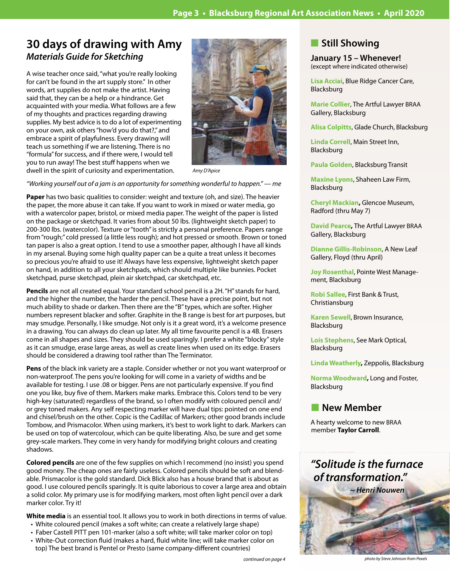# **30 days of drawing with Amy** *Materials Guide for Sketching*

A wise teacher once said, "what you're really looking for can't be found in the art supply store." In other words, art supplies do not make the artist. Having said that, they can be a help or a hindrance. Get acquainted with your media. What follows are a few of my thoughts and practices regarding drawing supplies. My best advice is to do a lot of experimenting on your own, ask others "how'd you do that?," and embrace a spirit of playfulness. Every drawing will teach us something if we are listening. There is no "formula" for success, and if there were, I would tell you to run away! The best stuff happens when we dwell in the spirit of curiosity and experimentation.



*Amy D'Apice*

*"Working yourself out of a jam is an opportunity for something wonderful to happen." — me*

**Paper** has two basic qualities to consider: weight and texture (oh, and size). The heavier the paper, the more abuse it can take. If you want to work in mixed or water media, go with a watercolor paper, bristol, or mixed media paper. The weight of the paper is listed on the package or sketchpad. It varies from about 50 lbs. (lightweight sketch paper) to 200-300 lbs. (watercolor). Texture or "tooth" is strictly a personal preference. Papers range from "rough;" cold pressed (a little less rough); and hot pressed or smooth. Brown or toned tan paper is also a great option. I tend to use a smoother paper, although I have all kinds in my arsenal. Buying some high quality paper can be a quite a treat unless it becomes so precious you're afraid to use it! Always have less expensive, lightweight sketch paper on hand, in addition to all your sketchpads, which should multiple like bunnies. Pocket sketchpad, purse sketchpad, plein air sketchpad, car sketchpad, etc.

**Pencils** are not all created equal. Your standard school pencil is a 2H. "H" stands for hard, and the higher the number, the harder the pencil. These have a precise point, but not much ability to shade or darken. Then there are the "B" types, which are softer. Higher numbers represent blacker and softer. Graphite in the B range is best for art purposes, but may smudge. Personally, I like smudge. Not only is it a great word, it's a welcome presence in a drawing. You can always do clean up later. My all time favourite pencil is a 4B. Erasers come in all shapes and sizes. They should be used sparingly. I prefer a white "blocky" style as it can smudge, erase large areas, as well as create lines when used on its edge. Erasers should be considered a drawing tool rather than The Terminator.

**Pens** of the black ink variety are a staple. Consider whether or not you want waterproof or non-waterproof. The pens you're looking for will come in a variety of widths and be available for testing. I use .08 or bigger. Pens are not particularly expensive. If you find one you like, buy five of them. Markers make marks. Embrace this. Colors tend to be very high-key (saturated) regardless of the brand, so I often modify with coloured pencil and/ or grey toned makers. Any self respecting marker will have dual tips: pointed on one end and chisel/brush on the other. Copic is the Cadillac of Markers; other good brands include Tombow, and Prismacolor. When using markers, it's best to work light to dark. Markers can be used on top of watercolour, which can be quite liberating. Also, be sure and get some grey-scale markers. They come in very handy for modifying bright colours and creating shadows.

**Colored pencils** are one of the few supplies on which I recommend (no insist) you spend good money. The cheap ones are fairly useless. Colored pencils should be soft and blendable. Prismacolor is the gold standard. Dick Blick also has a house brand that is about as good. I use coloured pencils sparingly. It is quite laborious to cover a large area and obtain a solid color. My primary use is for modifying markers, most often light pencil over a dark marker color. Try it!

**White media** is an essential tool. It allows you to work in both directions in terms of value.

- White coloured pencil (makes a soft white; can create a relatively large shape)
- Faber Castell PITT pen 101-marker (also a soft white; will take marker color on top)
- White-Out correction fluid (makes a hard, fluid white line; will take marker color on top) The best brand is Pentel or Presto (same company-different countries)

### **n** Still Showing

**January 15 – Whenever!** (except where indicated otherwise)

**Lisa Acciai**, Blue Ridge Cancer Care, Blacksburg

**Marie Collier**, The Artful Lawyer BRAA Gallery, Blacksburg

**Alisa Colpitts**, Glade Church, Blacksburg

**Linda Correll**, Main Street Inn, Blacksburg

**Paula Golden**, Blacksburg Transit

**Maxine Lyons**, Shaheen Law Firm, Blacksburg

**Cheryl Mackian,** Glencoe Museum, Radford (thru May 7)

**David Pearce,** The Artful Lawyer BRAA Gallery, Blacksburg

**Dianne Gillis-Robinson**, A New Leaf Gallery, Floyd (thru April)

**Joy Rosenthal**, Pointe West Management, Blacksburg

**Robi Sallee**, First Bank & Trust, Christiansburg

**Karen Sewell**, Brown Insurance, Blacksburg

**Lois Stephens**, See Mark Optical, Blacksburg

**Linda Weatherly,** Zeppolis, Blacksburg

**Norma Woodward,** Long and Foster, Blacksburg

### **New Member**

A hearty welcome to new BRAA member **Taylor Carroll**.

# *"Solitude is the furnace of transformation."*



*continued on page 4 photo by Steve Johnson from Pexels*